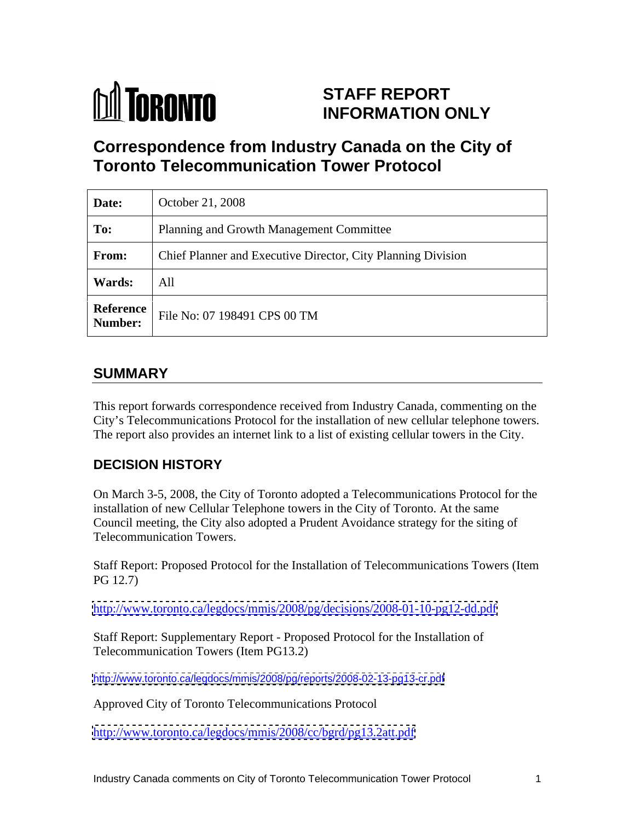

# **STAFF REPORT INFORMATION ONLY**

# **Correspondence from Industry Canada on the City of Toronto Telecommunication Tower Protocol**

| Date:         | October 21, 2008                                             |
|---------------|--------------------------------------------------------------|
| To:           | Planning and Growth Management Committee                     |
| From:         | Chief Planner and Executive Director, City Planning Division |
| <b>Wards:</b> | All                                                          |
|               | Reference File No: 07 198491 CPS 00 TM                       |

# **SUMMARY**

This report forwards correspondence received from Industry Canada, commenting on the City's Telecommunications Protocol for the installation of new cellular telephone towers. The report also provides an internet link to a list of existing cellular towers in the City.

## **DECISION HISTORY**

On March 3-5, 2008, the City of Toronto adopted a Telecommunications Protocol for the installation of new Cellular Telephone towers in the City of Toronto. At the same Council meeting, the City also adopted a Prudent Avoidance strategy for the siting of Telecommunication Towers.

Staff Report: Proposed Protocol for the Installation of Telecommunications Towers (Item PG 12.7)

<http://www.toronto.ca/legdocs/mmis/2008/pg/decisions/2008-01-10-pg12-dd.pdf>

Staff Report: Supplementary Report - Proposed Protocol for the Installation of Telecommunication Towers (Item PG13.2)

<http://www.toronto.ca/legdocs/mmis/2008/pg/reports/2008-02-13-pg13-cr.pdf>

Approved City of Toronto Telecommunications Protocol

<http://www.toronto.ca/legdocs/mmis/2008/cc/bgrd/pg13.2att.pdf>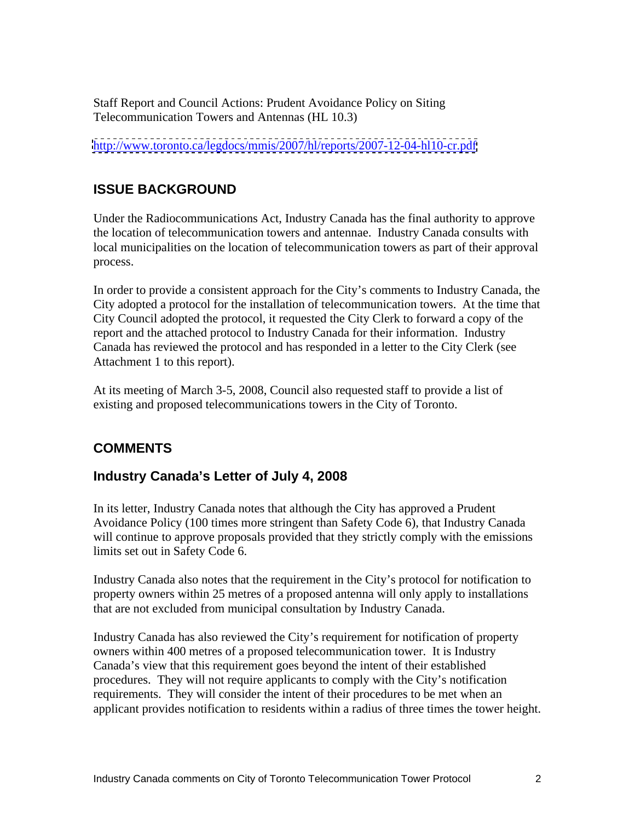Staff Report and Council Actions: Prudent Avoidance Policy on Siting Telecommunication Towers and Antennas (HL 10.3)

<http://www.toronto.ca/legdocs/mmis/2007/hl/reports/2007-12-04-hl10-cr.pdf>

# **ISSUE BACKGROUND**

Under the Radiocommunications Act, Industry Canada has the final authority to approve the location of telecommunication towers and antennae. Industry Canada consults with local municipalities on the location of telecommunication towers as part of their approval process.

In order to provide a consistent approach for the City's comments to Industry Canada, the City adopted a protocol for the installation of telecommunication towers. At the time that City Council adopted the protocol, it requested the City Clerk to forward a copy of the report and the attached protocol to Industry Canada for their information. Industry Canada has reviewed the protocol and has responded in a letter to the City Clerk (see Attachment 1 to this report).

At its meeting of March 3-5, 2008, Council also requested staff to provide a list of existing and proposed telecommunications towers in the City of Toronto.

# **COMMENTS**

## **Industry Canada's Letter of July 4, 2008**

In its letter, Industry Canada notes that although the City has approved a Prudent Avoidance Policy (100 times more stringent than Safety Code 6), that Industry Canada will continue to approve proposals provided that they strictly comply with the emissions limits set out in Safety Code 6.

Industry Canada also notes that the requirement in the City's protocol for notification to property owners within 25 metres of a proposed antenna will only apply to installations that are not excluded from municipal consultation by Industry Canada.

Industry Canada has also reviewed the City's requirement for notification of property owners within 400 metres of a proposed telecommunication tower. It is Industry Canada's view that this requirement goes beyond the intent of their established procedures. They will not require applicants to comply with the City's notification requirements. They will consider the intent of their procedures to be met when an applicant provides notification to residents within a radius of three times the tower height.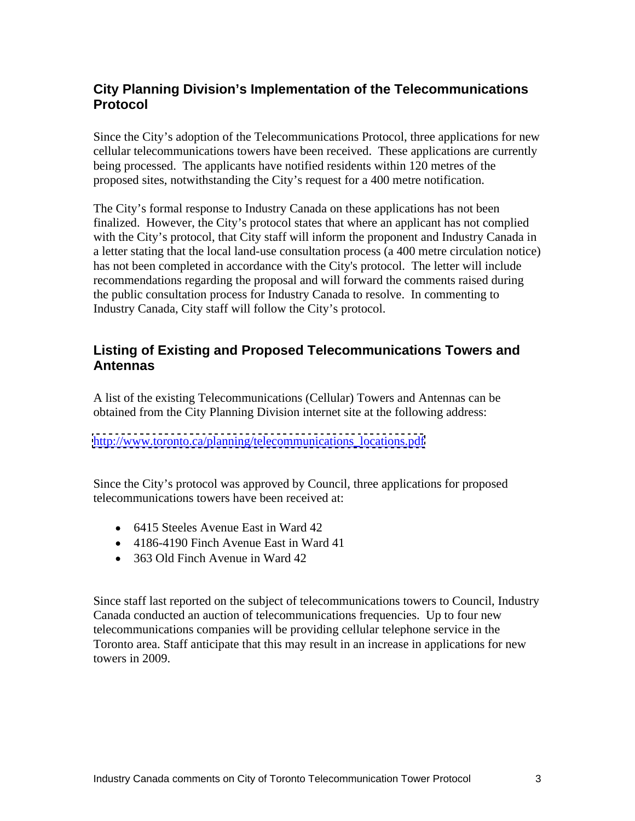# **City Planning Division's Implementation of the Telecommunications Protocol**

Since the City's adoption of the Telecommunications Protocol, three applications for new cellular telecommunications towers have been received. These applications are currently being processed. The applicants have notified residents within 120 metres of the proposed sites, notwithstanding the City's request for a 400 metre notification.

The City's formal response to Industry Canada on these applications has not been finalized. However, the City's protocol states that where an applicant has not complied with the City's protocol, that City staff will inform the proponent and Industry Canada in a letter stating that the local land-use consultation process (a 400 metre circulation notice) has not been completed in accordance with the City's protocol. The letter will include recommendations regarding the proposal and will forward the comments raised during the public consultation process for Industry Canada to resolve. In commenting to Industry Canada, City staff will follow the City's protocol.

### **Listing of Existing and Proposed Telecommunications Towers and Antennas**

A list of the existing Telecommunications (Cellular) Towers and Antennas can be obtained from the City Planning Division internet site at the following address:

[http://www.toronto.ca/planning/telecommunications\\_locations.pdf](http://www.toronto.ca/planning/telecommunications_locations.pdf)

Since the City's protocol was approved by Council, three applications for proposed telecommunications towers have been received at:

- 6415 Steeles Avenue East in Ward 42
- 4186-4190 Finch Avenue East in Ward 41
- 363 Old Finch Avenue in Ward 42

Since staff last reported on the subject of telecommunications towers to Council, Industry Canada conducted an auction of telecommunications frequencies. Up to four new telecommunications companies will be providing cellular telephone service in the Toronto area. Staff anticipate that this may result in an increase in applications for new towers in 2009.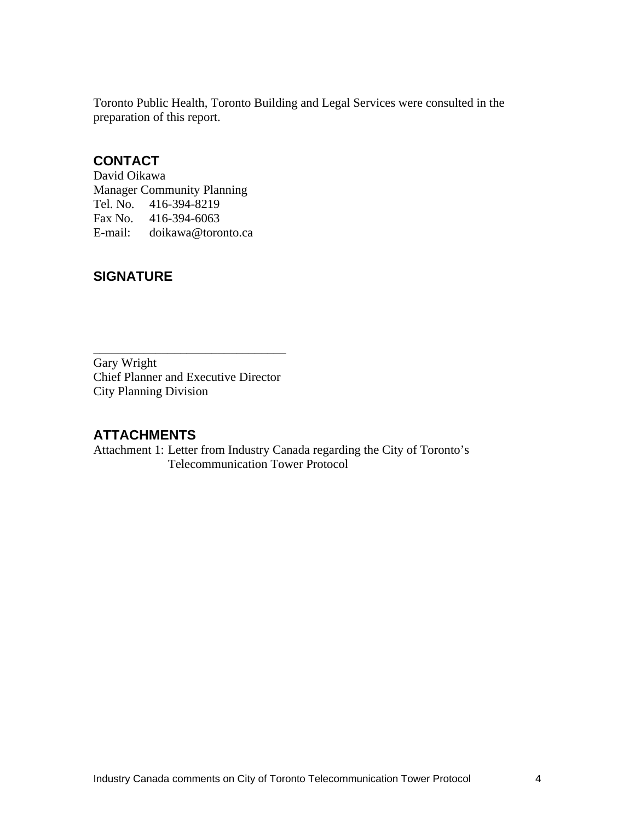Toronto Public Health, Toronto Building and Legal Services were consulted in the preparation of this report.

### **CONTACT**

David Oikawa Manager Community Planning Tel. No. 416-394-8219 Fax No. 416-394-6063 E-mail: doikawa@toronto.ca

# **SIGNATURE**

Gary Wright Chief Planner and Executive Director City Planning Division

## **ATTACHMENTS**

Attachment 1: Letter from Industry Canada regarding the City of Toronto's Telecommunication Tower Protocol

 $\overline{\phantom{a}}$  , we can assume that the contract of  $\overline{\phantom{a}}$  , we can assume that the contract of  $\overline{\phantom{a}}$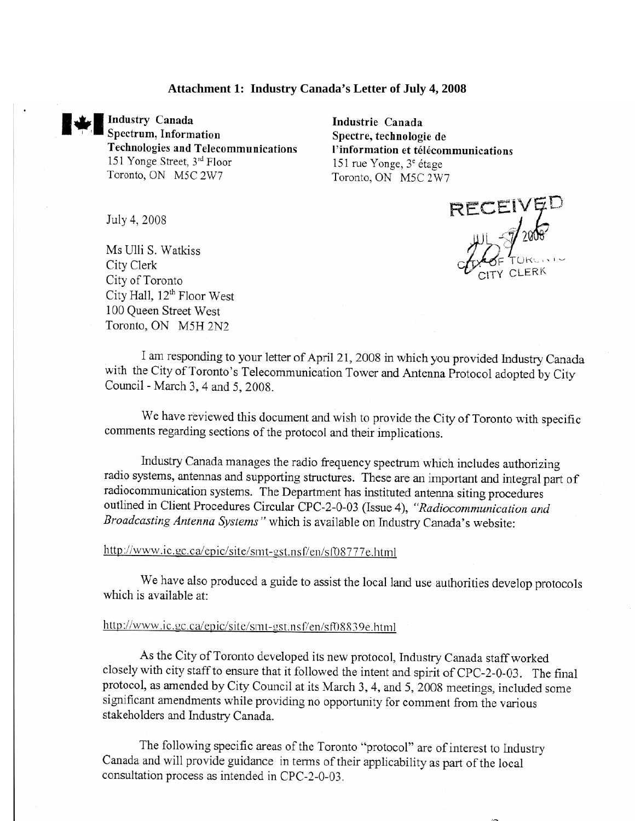#### **Attachment 1: Industry Canada's Letter of July 4, 2008**



**Industry Canada** Spectrum, Information Technologies and Telecommunications 151 Yonge Street, 3rd Floor Toronto, ON M5C 2W7

Industrie Canada Spectre, technologie de l'information et télécommunications 151 rue Yonge, 3<sup>e</sup> étage Toronto, ON M5C 2W7

July 4, 2008

Ms Ulli S. Watkiss City Clerk City of Toronto City Hall, 12<sup>th</sup> Floor West 100 Queen Street West Toronto, ON M5H 2N2

RECEIVED

I am responding to your letter of April 21, 2008 in which you provided Industry Canada with the City of Toronto's Telecommunication Tower and Antenna Protocol adopted by City Council - March 3, 4 and 5, 2008.

We have reviewed this document and wish to provide the City of Toronto with specific comments regarding sections of the protocol and their implications.

Industry Canada manages the radio frequency spectrum which includes authorizing radio systems, antennas and supporting structures. These are an important and integral part of radiocommunication systems. The Department has instituted antenna siting procedures outlined in Client Procedures Circular CPC-2-0-03 (Issue 4), "Radiocommunication and Broadcasting Antenna Systems" which is available on Industry Canada's website:

http://www.ic.gc.ca/epic/site/smt-gst.nsf/en/sf08777e.html

We have also produced a guide to assist the local land use authorities develop protocols which is available at:

#### http://www.ic.gc.ca/epic/site/smt-gst.nsf/en/sf08839e.html

As the City of Toronto developed its new protocol, Industry Canada staff worked closely with city staff to ensure that it followed the intent and spirit of CPC-2-0-03. The final protocol, as amended by City Council at its March 3, 4, and 5, 2008 meetings, included some significant amendments while providing no opportunity for comment from the various stakeholders and Industry Canada.

The following specific areas of the Toronto "protocol" are of interest to Industry Canada and will provide guidance in terms of their applicability as part of the local consultation process as intended in CPC-2-0-03.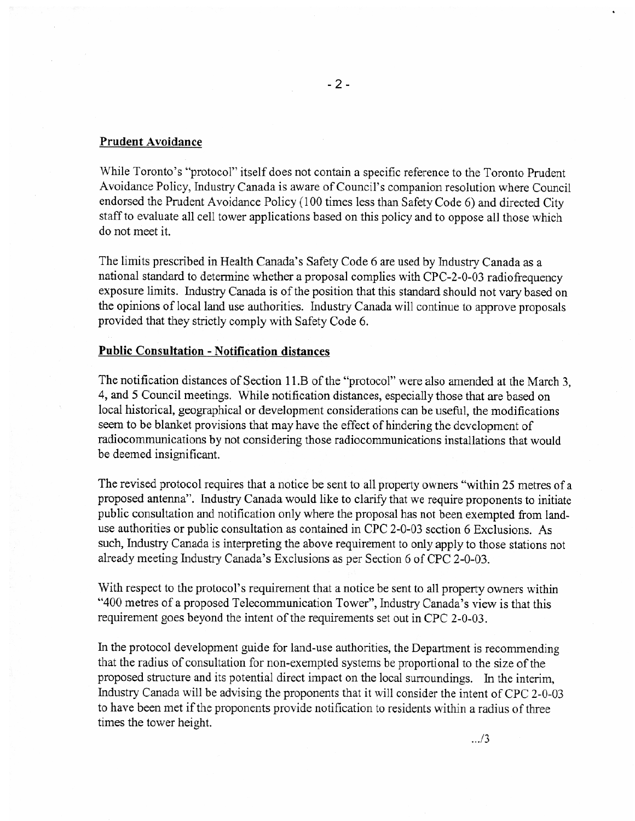#### **Prudent Avoidance**

While Toronto's "protocol" itself does not contain a specific reference to the Toronto Prudent Avoidance Policy, Industry Canada is aware of Council's companion resolution where Council endorsed the Prudent Avoidance Policy (100 times less than Safety Code 6) and directed City staff to evaluate all cell tower applications based on this policy and to oppose all those which do not meet it.

The limits prescribed in Health Canada's Safety Code 6 are used by Industry Canada as a national standard to determine whether a proposal complies with CPC-2-0-03 radiofrequency exposure limits. Industry Canada is of the position that this standard should not vary based on the opinions of local land use authorities. Industry Canada will continue to approve proposals provided that they strictly comply with Safety Code 6.

#### **Public Consultation - Notification distances**

The notification distances of Section 11.B of the "protocol" were also amended at the March 3. 4, and 5 Council meetings. While notification distances, especially those that are based on local historical, geographical or development considerations can be useful, the modifications seem to be blanket provisions that may have the effect of hindering the development of radiocommunications by not considering those radiocommunications installations that would be deemed insignificant.

The revised protocol requires that a notice be sent to all property owners "within 25 metres of a proposed antenna". Industry Canada would like to clarify that we require proponents to initiate public consultation and notification only where the proposal has not been exempted from landuse authorities or public consultation as contained in CPC 2-0-03 section 6 Exclusions. As such, Industry Canada is interpreting the above requirement to only apply to those stations not already meeting Industry Canada's Exclusions as per Section 6 of CPC 2-0-03.

With respect to the protocol's requirement that a notice be sent to all property owners within "400 metres of a proposed Telecommunication Tower", Industry Canada's view is that this requirement goes beyond the intent of the requirements set out in CPC 2-0-03.

In the protocol development guide for land-use authorities, the Department is recommending that the radius of consultation for non-exempted systems be proportional to the size of the proposed structure and its potential direct impact on the local surroundings. In the interim, Industry Canada will be advising the proponents that it will consider the intent of CPC 2-0-03 to have been met if the proponents provide notification to residents within a radius of three times the tower height.

 $\ldots/3$